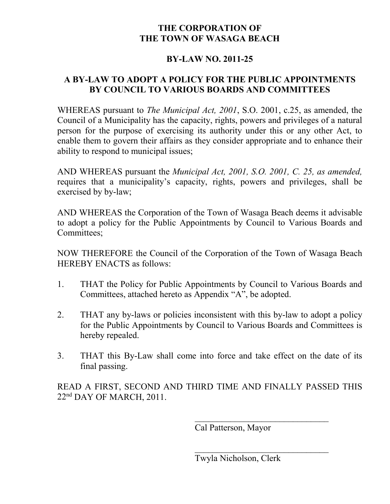#### **THE CORPORATION OF THE TOWN OF WASAGA BEACH**

#### **BY-LAW NO. 2011-25**

#### **A BY-LAW TO ADOPT A POLICY FOR THE PUBLIC APPOINTMENTS BY COUNCIL TO VARIOUS BOARDS AND COMMITTEES**

WHEREAS pursuant to *The Municipal Act, 2001*, S.O. 2001, c.25, as amended, the Council of a Municipality has the capacity, rights, powers and privileges of a natural person for the purpose of exercising its authority under this or any other Act, to enable them to govern their affairs as they consider appropriate and to enhance their ability to respond to municipal issues;

AND WHEREAS pursuant the *Municipal Act, 2001, S.O. 2001, C. 25, as amended,*  requires that a municipality's capacity, rights, powers and privileges, shall be exercised by by-law;

AND WHEREAS the Corporation of the Town of Wasaga Beach deems it advisable to adopt a policy for the Public Appointments by Council to Various Boards and Committees;

NOW THEREFORE the Council of the Corporation of the Town of Wasaga Beach HEREBY ENACTS as follows:

- 1. THAT the Policy for Public Appointments by Council to Various Boards and Committees, attached hereto as Appendix "A", be adopted.
- 2. THAT any by-laws or policies inconsistent with this by-law to adopt a policy for the Public Appointments by Council to Various Boards and Committees is hereby repealed.
- 3. THAT this By-Law shall come into force and take effect on the date of its final passing.

READ A FIRST, SECOND AND THIRD TIME AND FINALLY PASSED THIS 22<sup>nd</sup> DAY OF MARCH, 2011.

Cal Patterson, Mayor

\_\_\_\_\_\_\_\_\_\_\_\_\_\_\_\_\_\_\_\_\_\_\_\_\_\_\_\_\_\_

\_\_\_\_\_\_\_\_\_\_\_\_\_\_\_\_\_\_\_\_\_\_\_\_\_\_\_\_\_\_

Twyla Nicholson, Clerk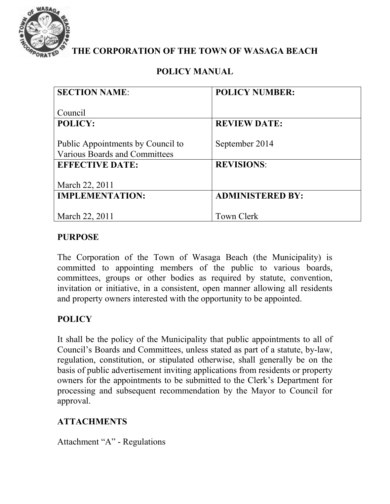

**THE CORPORATION OF THE TOWN OF WASAGA BEACH**

# **POLICY MANUAL**

| <b>SECTION NAME:</b>              | <b>POLICY NUMBER:</b>   |
|-----------------------------------|-------------------------|
|                                   |                         |
| Council                           |                         |
| <b>POLICY:</b>                    | <b>REVIEW DATE:</b>     |
|                                   |                         |
| Public Appointments by Council to | September 2014          |
| Various Boards and Committees     |                         |
| <b>EFFECTIVE DATE:</b>            | <b>REVISIONS:</b>       |
|                                   |                         |
| March 22, 2011                    |                         |
| <b>IMPLEMENTATION:</b>            | <b>ADMINISTERED BY:</b> |
|                                   |                         |
| March 22, 2011                    | Town Clerk              |

# **PURPOSE**

The Corporation of the Town of Wasaga Beach (the Municipality) is committed to appointing members of the public to various boards, committees, groups or other bodies as required by statute, convention, invitation or initiative, in a consistent, open manner allowing all residents and property owners interested with the opportunity to be appointed.

# **POLICY**

It shall be the policy of the Municipality that public appointments to all of Council's Boards and Committees, unless stated as part of a statute, by-law, regulation, constitution, or stipulated otherwise, shall generally be on the basis of public advertisement inviting applications from residents or property owners for the appointments to be submitted to the Clerk's Department for processing and subsequent recommendation by the Mayor to Council for approval.

# **ATTACHMENTS**

Attachment "A" - Regulations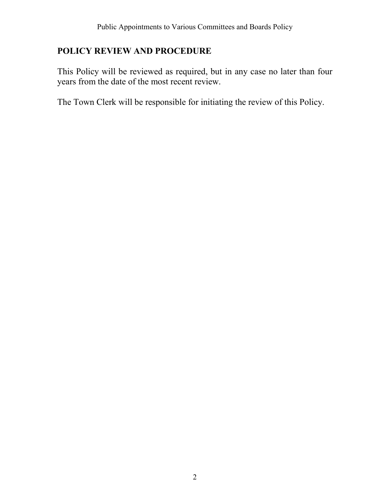#### **POLICY REVIEW AND PROCEDURE**

This Policy will be reviewed as required, but in any case no later than four years from the date of the most recent review.

The Town Clerk will be responsible for initiating the review of this Policy.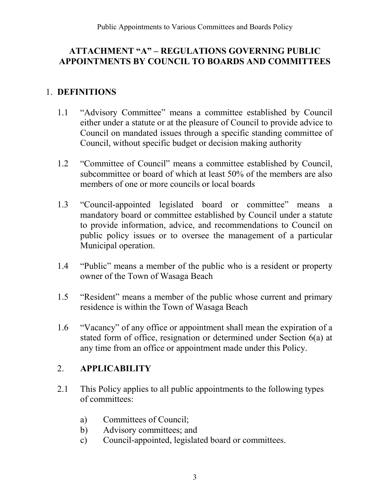# **ATTACHMENT "A" – REGULATIONS GOVERNING PUBLIC APPOINTMENTS BY COUNCIL TO BOARDS AND COMMITTEES**

# 1. **DEFINITIONS**

- 1.1 "Advisory Committee" means a committee established by Council either under a statute or at the pleasure of Council to provide advice to Council on mandated issues through a specific standing committee of Council, without specific budget or decision making authority
- 1.2 "Committee of Council" means a committee established by Council, subcommittee or board of which at least 50% of the members are also members of one or more councils or local boards
- 1.3 "Council-appointed legislated board or committee" means a mandatory board or committee established by Council under a statute to provide information, advice, and recommendations to Council on public policy issues or to oversee the management of a particular Municipal operation.
- 1.4 "Public" means a member of the public who is a resident or property owner of the Town of Wasaga Beach
- 1.5 "Resident" means a member of the public whose current and primary residence is within the Town of Wasaga Beach
- 1.6 "Vacancy" of any office or appointment shall mean the expiration of a stated form of office, resignation or determined under Section 6(a) at any time from an office or appointment made under this Policy.

# 2. **APPLICABILITY**

- 2.1 This Policy applies to all public appointments to the following types of committees:
	- a) Committees of Council;
	- b) Advisory committees; and
	- c) Council-appointed, legislated board or committees.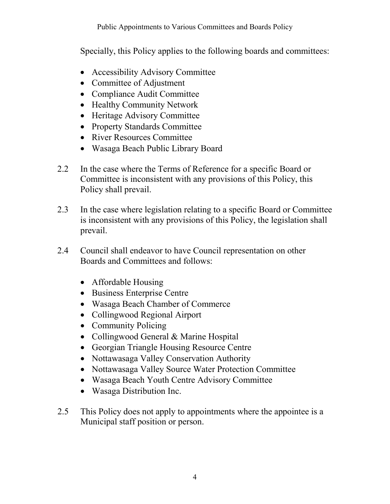Specially, this Policy applies to the following boards and committees:

- Accessibility Advisory Committee
- Committee of Adjustment
- Compliance Audit Committee
- Healthy Community Network
- Heritage Advisory Committee
- Property Standards Committee
- River Resources Committee
- Wasaga Beach Public Library Board
- 2.2 In the case where the Terms of Reference for a specific Board or Committee is inconsistent with any provisions of this Policy, this Policy shall prevail.
- 2.3 In the case where legislation relating to a specific Board or Committee is inconsistent with any provisions of this Policy, the legislation shall prevail.
- 2.4 Council shall endeavor to have Council representation on other Boards and Committees and follows:
	- Affordable Housing
	- Business Enterprise Centre
	- Wasaga Beach Chamber of Commerce
	- Collingwood Regional Airport
	- Community Policing
	- Collingwood General & Marine Hospital
	- Georgian Triangle Housing Resource Centre
	- Nottawasaga Valley Conservation Authority
	- Nottawasaga Valley Source Water Protection Committee
	- Wasaga Beach Youth Centre Advisory Committee
	- Wasaga Distribution Inc.
- 2.5 This Policy does not apply to appointments where the appointee is a Municipal staff position or person.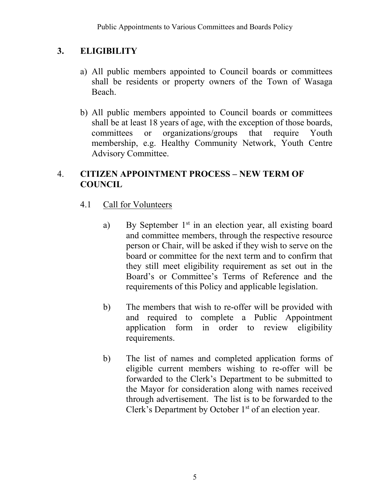# **3. ELIGIBILITY**

- a) All public members appointed to Council boards or committees shall be residents or property owners of the Town of Wasaga Beach.
- b) All public members appointed to Council boards or committees shall be at least 18 years of age, with the exception of those boards, committees or organizations/groups that require Youth membership, e.g. Healthy Community Network, Youth Centre Advisory Committee.

#### 4. **CITIZEN APPOINTMENT PROCESS – NEW TERM OF COUNCIL**

#### 4.1 Call for Volunteers

- a) By September 1<sup>st</sup> in an election year, all existing board and committee members, through the respective resource person or Chair, will be asked if they wish to serve on the board or committee for the next term and to confirm that they still meet eligibility requirement as set out in the Board's or Committee's Terms of Reference and the requirements of this Policy and applicable legislation.
- b) The members that wish to re-offer will be provided with and required to complete a Public Appointment application form in order to review eligibility requirements.
- b) The list of names and completed application forms of eligible current members wishing to re-offer will be forwarded to the Clerk's Department to be submitted to the Mayor for consideration along with names received through advertisement. The list is to be forwarded to the Clerk's Department by October  $1<sup>st</sup>$  of an election year.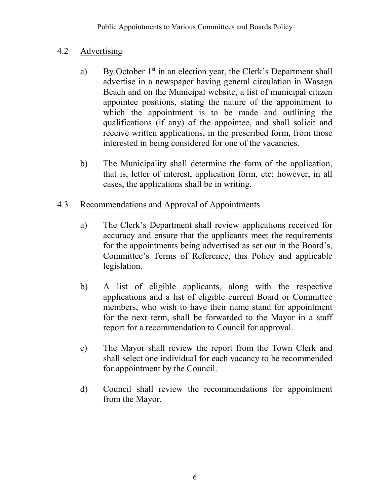# 4.2 Advertising

- a) By October  $1<sup>st</sup>$  in an election year, the Clerk's Department shall advertise in a newspaper having general circulation in Wasaga Beach and on the Municipal website, a list of municipal citizen appointee positions, stating the nature of the appointment to which the appointment is to be made and outlining the qualifications (if any) of the appointee, and shall solicit and receive written applications, in the prescribed form, from those interested in being considered for one of the vacancies.
- b) The Municipality shall determine the form of the application, that is, letter of interest, application form, etc; however, in all cases, the applications shall be in writing.
- 4.3 Recommendations and Approval of Appointments
	- a) The Clerk's Department shall review applications received for accuracy and ensure that the applicants meet the requirements for the appointments being advertised as set out in the Board's, Committee's Terms of Reference, this Policy and applicable legislation.
	- b) A list of eligible applicants, along with the respective applications and a list of eligible current Board or Committee members, who wish to have their name stand for appointment for the next term, shall be forwarded to the Mayor in a staff report for a recommendation to Council for approval.
	- c) The Mayor shall review the report from the Town Clerk and shall select one individual for each vacancy to be recommended for appointment by the Council.
	- d) Council shall review the recommendations for appointment from the Mayor.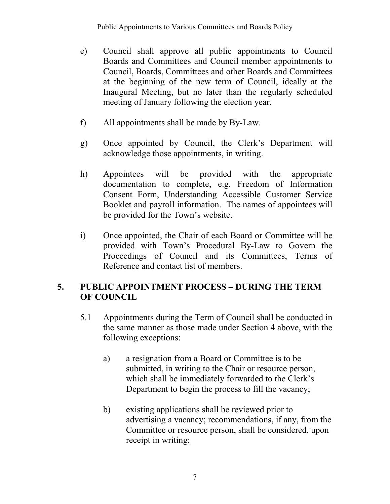- e) Council shall approve all public appointments to Council Boards and Committees and Council member appointments to Council, Boards, Committees and other Boards and Committees at the beginning of the new term of Council, ideally at the Inaugural Meeting, but no later than the regularly scheduled meeting of January following the election year.
- f) All appointments shall be made by By-Law.
- g) Once appointed by Council, the Clerk's Department will acknowledge those appointments, in writing.
- h) Appointees will be provided with the appropriate documentation to complete, e.g. Freedom of Information Consent Form, Understanding Accessible Customer Service Booklet and payroll information. The names of appointees will be provided for the Town's website.
- i) Once appointed, the Chair of each Board or Committee will be provided with Town's Procedural By-Law to Govern the Proceedings of Council and its Committees, Terms of Reference and contact list of members.

# **5. PUBLIC APPOINTMENT PROCESS – DURING THE TERM OF COUNCIL**

- 5.1 Appointments during the Term of Council shall be conducted in the same manner as those made under Section 4 above, with the following exceptions:
	- a) a resignation from a Board or Committee is to be submitted, in writing to the Chair or resource person, which shall be immediately forwarded to the Clerk's Department to begin the process to fill the vacancy;
	- b) existing applications shall be reviewed prior to advertising a vacancy; recommendations, if any, from the Committee or resource person, shall be considered, upon receipt in writing;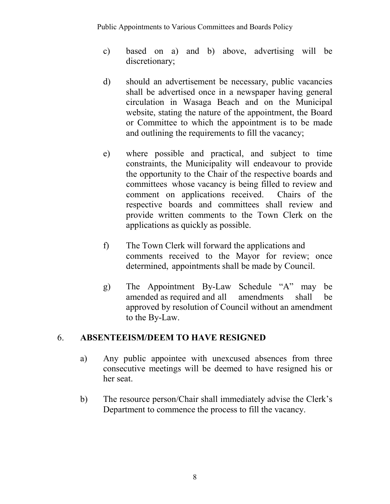- c) based on a) and b) above, advertising will be discretionary;
- d) should an advertisement be necessary, public vacancies shall be advertised once in a newspaper having general circulation in Wasaga Beach and on the Municipal website, stating the nature of the appointment, the Board or Committee to which the appointment is to be made and outlining the requirements to fill the vacancy;
- e) where possible and practical, and subject to time constraints, the Municipality will endeavour to provide the opportunity to the Chair of the respective boards and committees whose vacancy is being filled to review and comment on applications received. Chairs of the respective boards and committees shall review and provide written comments to the Town Clerk on the applications as quickly as possible.
- f) The Town Clerk will forward the applications and comments received to the Mayor for review; once determined, appointments shall be made by Council.
- g) The Appointment By-Law Schedule "A" may be amended as required and all amendments shall be approved by resolution of Council without an amendment to the By-Law.

#### 6. **ABSENTEEISM/DEEM TO HAVE RESIGNED**

- a) Any public appointee with unexcused absences from three consecutive meetings will be deemed to have resigned his or her seat.
- b) The resource person/Chair shall immediately advise the Clerk's Department to commence the process to fill the vacancy.